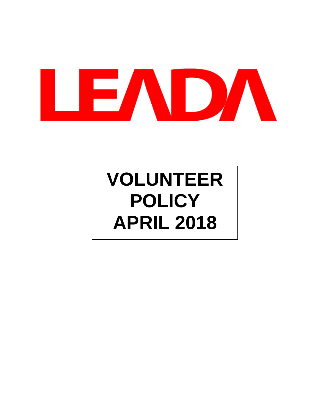

# **VOLUNTEER POLICY APRIL 2018**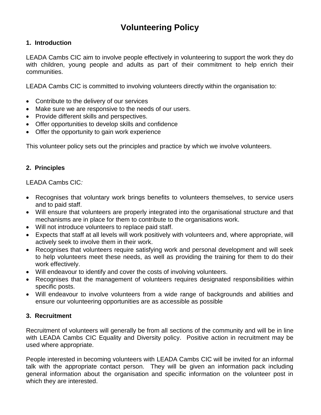# **Volunteering Policy**

# **1. Introduction**

LEADA Cambs CIC aim to involve people effectively in volunteering to support the work they do with children, young people and adults as part of their commitment to help enrich their communities.

LEADA Cambs CIC is committed to involving volunteers directly within the organisation to:

- Contribute to the delivery of our services
- Make sure we are responsive to the needs of our users.
- Provide different skills and perspectives.
- Offer opportunities to develop skills and confidence
- Offer the opportunity to gain work experience

This volunteer policy sets out the principles and practice by which we involve volunteers.

# **2. Principles**

# LEADA Cambs CIC*:*

- Recognises that voluntary work brings benefits to volunteers themselves, to service users and to paid staff.
- Will ensure that volunteers are properly integrated into the organisational structure and that mechanisms are in place for them to contribute to the organisations work.
- Will not introduce volunteers to replace paid staff.
- Expects that staff at all levels will work positively with volunteers and, where appropriate, will actively seek to involve them in their work.
- Recognises that volunteers require satisfying work and personal development and will seek to help volunteers meet these needs, as well as providing the training for them to do their work effectively.
- Will endeavour to identify and cover the costs of involving volunteers.
- Recognises that the management of volunteers requires designated responsibilities within specific posts.
- Will endeavour to involve volunteers from a wide range of backgrounds and abilities and ensure our volunteering opportunities are as accessible as possible

# **3. Recruitment**

Recruitment of volunteers will generally be from all sections of the community and will be in line with LEADA Cambs CIC Equality and Diversity policy. Positive action in recruitment may be used where appropriate.

People interested in becoming volunteers with LEADA Cambs CIC will be invited for an informal talk with the appropriate contact person. They will be given an information pack including general information about the organisation and specific information on the volunteer post in which they are interested.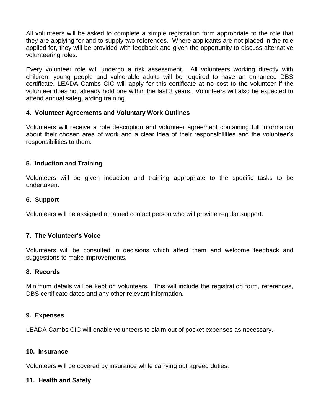All volunteers will be asked to complete a simple registration form appropriate to the role that they are applying for and to supply two references. Where applicants are not placed in the role applied for, they will be provided with feedback and given the opportunity to discuss alternative volunteering roles.

Every volunteer role will undergo a risk assessment. All volunteers working directly with children, young people and vulnerable adults will be required to have an enhanced DBS certificate. LEADA Cambs CIC will apply for this certificate at no cost to the volunteer if the volunteer does not already hold one within the last 3 years. Volunteers will also be expected to attend annual safeguarding training.

#### **4. Volunteer Agreements and Voluntary Work Outlines**

Volunteers will receive a role description and volunteer agreement containing full information about their chosen area of work and a clear idea of their responsibilities and the volunteer's responsibilities to them.

#### **5. Induction and Training**

Volunteers will be given induction and training appropriate to the specific tasks to be undertaken.

#### **6. Support**

Volunteers will be assigned a named contact person who will provide regular support.

#### **7. The Volunteer's Voice**

Volunteers will be consulted in decisions which affect them and welcome feedback and suggestions to make improvements.

#### **8. Records**

Minimum details will be kept on volunteers. This will include the registration form, references, DBS certificate dates and any other relevant information.

#### **9. Expenses**

LEADA Cambs CIC will enable volunteers to claim out of pocket expenses as necessary.

#### **10. Insurance**

Volunteers will be covered by insurance while carrying out agreed duties.

#### **11. Health and Safety**